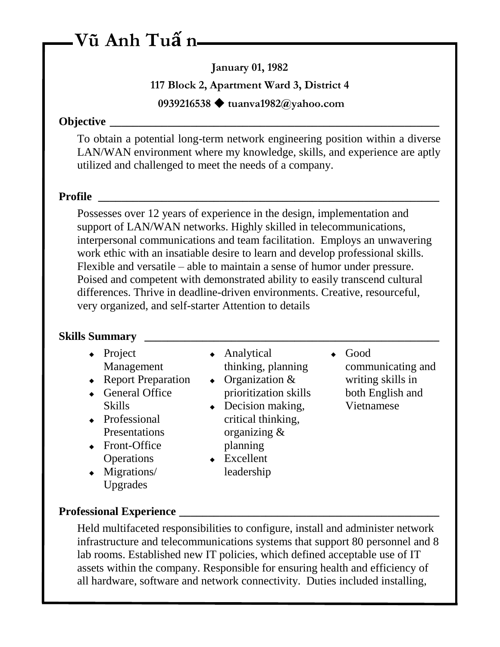# **Vũ Anh Tuấ n**

**January 01, 1982**

**117 Block 2, Apartment Ward 3, District 4**

**0939216538 tuanva1982@yahoo.com**

### **Objective**   $\blacksquare$

To obtain a potential long-term network engineering position within a diverse LAN/WAN environment where my knowledge, skills, and experience are aptly utilized and challenged to meet the needs of a company.

### **Profile \_\_\_\_\_\_\_\_\_\_\_\_\_\_\_\_\_\_\_\_\_\_\_\_\_\_\_\_\_\_\_\_\_\_\_\_\_\_\_\_\_\_\_\_\_\_\_\_\_\_\_\_\_\_\_\_\_\_\_**

Possesses over 12 years of experience in the design, implementation and support of LAN/WAN networks. Highly skilled in telecommunications, interpersonal communications and team facilitation. Employs an unwavering work ethic with an insatiable desire to learn and develop professional skills. Flexible and versatile – able to maintain a sense of humor under pressure. Poised and competent with demonstrated ability to easily transcend cultural differences. Thrive in deadline-driven environments. Creative, resourceful, very organized, and self-starter Attention to details

### **Skills Summary \_\_\_\_\_\_\_\_\_\_\_\_\_\_\_\_\_\_\_\_\_\_\_\_\_\_\_\_\_\_\_\_\_\_\_\_\_\_\_\_\_\_\_\_\_\_\_\_\_\_\_**

- $\leftarrow$  Project Management
- ◆ Report Preparation
- General Office Skills
- Professional Presentations
- Front-Office **Operations**
- Migrations/ Upgrades
- Analytical thinking, planning
- Organization & prioritization skills
- $\bullet$  Decision making, critical thinking, organizing & planning
- ◆ Excellent leadership
- Good
	- communicating and writing skills in both English and Vietnamese

### **Professional Experience \_\_\_\_\_\_\_\_\_\_\_\_\_\_\_\_\_\_\_\_\_\_\_\_\_\_\_\_\_\_\_\_\_\_\_\_\_\_\_\_\_\_\_\_\_**

Held multifaceted responsibilities to configure, install and administer network infrastructure and telecommunications systems that support 80 personnel and 8 lab rooms. Established new IT policies, which defined acceptable use of IT assets within the company. Responsible for ensuring health and efficiency of all hardware, software and network connectivity. Duties included installing,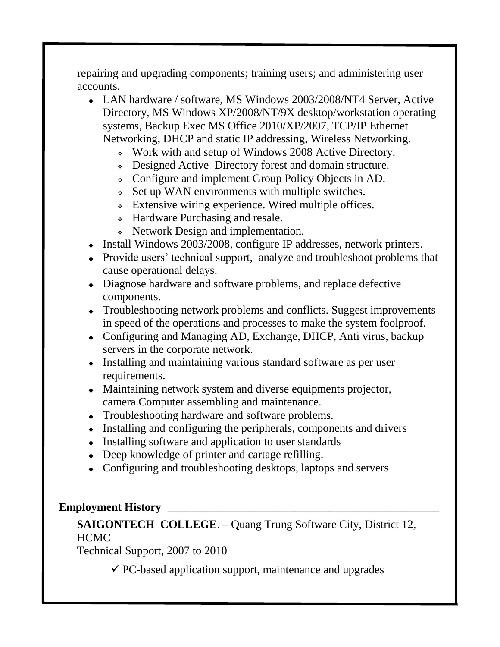repairing and upgrading components; training users; and administering user accounts.

- LAN hardware / software, MS Windows 2003/2008/NT4 Server, Active Directory, MS Windows XP/2008/NT/9X desktop/workstation operating systems, Backup Exec MS Office 2010/XP/2007, TCP/IP Ethernet Networking, DHCP and static IP addressing, Wireless Networking.
	- Work with and setup of Windows 2008 Active Directory.
	- Designed Active Directory forest and domain structure.
	- Configure and implement Group Policy Objects in AD.
	- Set up WAN environments with multiple switches.
	- Extensive wiring experience. Wired multiple offices.
	- Hardware Purchasing and resale.
	- Network Design and implementation.
- Install Windows 2003/2008, configure IP addresses, network printers.
- Provide users' technical support, analyze and troubleshoot problems that cause operational delays.
- Diagnose hardware and software problems, and replace defective components.
- Troubleshooting network problems and conflicts. Suggest improvements in speed of the operations and processes to make the system foolproof.
- Configuring and Managing AD, Exchange, DHCP, Anti virus, backup servers in the corporate network.
- Installing and maintaining various standard software as per user requirements.
- Maintaining network system and diverse equipments projector, camera.Computer assembling and maintenance.
- Troubleshooting hardware and software problems.
- $\bullet$  Installing and configuring the peripherals, components and drivers
- $\bullet$  Installing software and application to user standards
- Deep knowledge of printer and cartage refilling.
- Configuring and troubleshooting desktops, laptops and servers

### **Employment History \_\_\_\_\_\_\_\_\_\_\_\_\_\_\_\_\_\_\_\_\_\_\_\_\_\_\_\_\_\_\_\_\_\_\_\_\_\_\_\_\_\_\_\_\_\_\_**

## **SAIGONTECH COLLEGE**. – Quang Trung Software City, District 12, HCMC

Technical Support, 2007 to 2010

 $\checkmark$  PC-based application support, maintenance and upgrades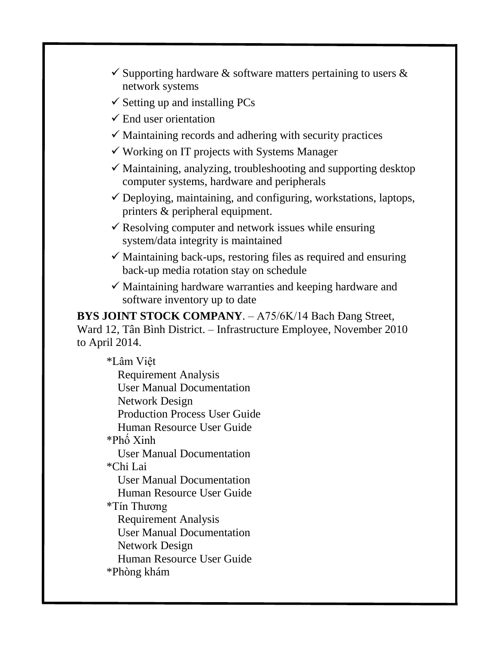- $\checkmark$  Supporting hardware  $\&$  software matters pertaining to users  $\&$ network systems
- $\checkmark$  Setting up and installing PCs
- $\checkmark$  End user orientation
- $\checkmark$  Maintaining records and adhering with security practices
- $\checkmark$  Working on IT projects with Systems Manager
- $\checkmark$  Maintaining, analyzing, troubleshooting and supporting desktop computer systems, hardware and peripherals
- $\checkmark$  Deploying, maintaining, and configuring, workstations, laptops, printers & peripheral equipment.
- $\checkmark$  Resolving computer and network issues while ensuring system/data integrity is maintained
- $\checkmark$  Maintaining back-ups, restoring files as required and ensuring back-up media rotation stay on schedule
- $\checkmark$  Maintaining hardware warranties and keeping hardware and software inventory up to date

**BYS JOINT STOCK COMPANY**. – A75/6K/14 Bach Đang Street, Ward 12, Tân Bình District. – Infrastructure Employee, November 2010 to April 2014.

\*Lâm Việt Requirement Analysis User Manual Documentation Network Design Production Process User Guide Human Resource User Guide \*Phố Xinh User Manual Documentation \*Chi Lai User Manual Documentation Human Resource User Guide \*Tín Thương Requirement Analysis User Manual Documentation Network Design Human Resource User Guide \*Phòng khám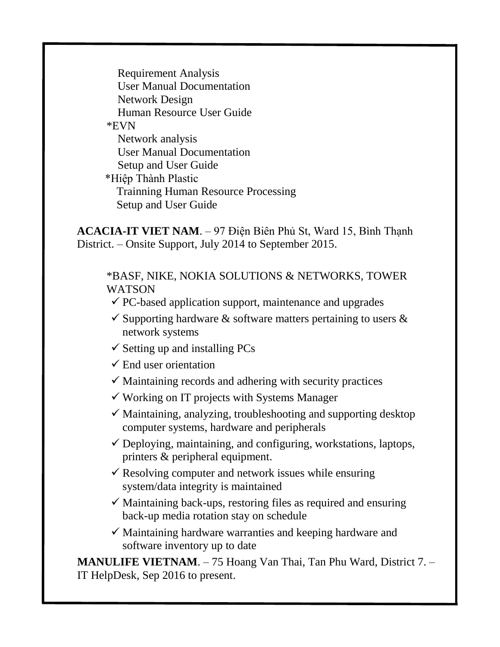Requirement Analysis User Manual Documentation Network Design Human Resource User Guide \*EVN Network analysis User Manual Documentation Setup and User Guide \*Hiệp Thành Plastic Trainning Human Resource Processing Setup and User Guide

**ACACIA-IT VIET NAM**. – 97 Điện Biên Phủ St, Ward 15, Bình Thạnh District. – Onsite Support, July 2014 to September 2015.

\*BASF, NIKE, NOKIA SOLUTIONS & NETWORKS, TOWER WATSON

- $\checkmark$  PC-based application support, maintenance and upgrades
- $\checkmark$  Supporting hardware  $\&$  software matters pertaining to users  $\&$ network systems
- $\checkmark$  Setting up and installing PCs
- $\checkmark$  End user orientation
- $\checkmark$  Maintaining records and adhering with security practices
- $\checkmark$  Working on IT projects with Systems Manager
- $\checkmark$  Maintaining, analyzing, troubleshooting and supporting desktop computer systems, hardware and peripherals
- $\checkmark$  Deploying, maintaining, and configuring, workstations, laptops, printers & peripheral equipment.
- $\checkmark$  Resolving computer and network issues while ensuring system/data integrity is maintained
- $\checkmark$  Maintaining back-ups, restoring files as required and ensuring back-up media rotation stay on schedule
- $\checkmark$  Maintaining hardware warranties and keeping hardware and software inventory up to date

**MANULIFE VIETNAM**. – 75 Hoang Van Thai, Tan Phu Ward, District 7. – IT HelpDesk, Sep 2016 to present.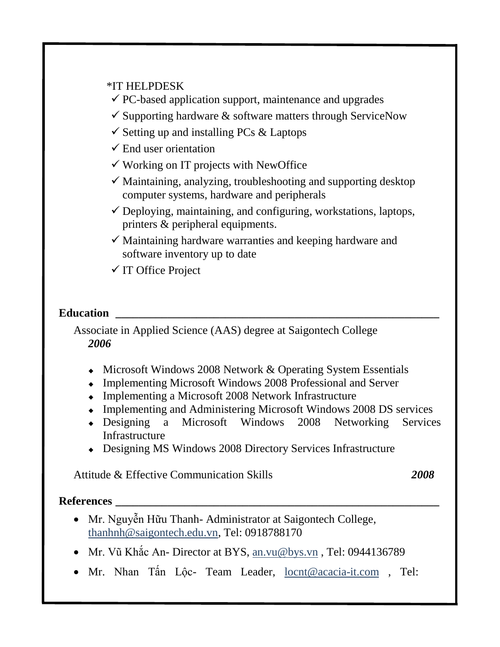#### \*IT HELPDESK

- $\checkmark$  PC-based application support, maintenance and upgrades
- $\checkmark$  Supporting hardware  $\&$  software matters through ServiceNow
- $\checkmark$  Setting up and installing PCs & Laptops
- $\checkmark$  End user orientation
- $\checkmark$  Working on IT projects with NewOffice
- $\checkmark$  Maintaining, analyzing, troubleshooting and supporting desktop computer systems, hardware and peripherals
- $\checkmark$  Deploying, maintaining, and configuring, workstations, laptops, printers & peripheral equipments.
- $\checkmark$  Maintaining hardware warranties and keeping hardware and software inventory up to date
- $\checkmark$  IT Office Project

### **Education**

Associate in Applied Science (AAS) degree at Saigontech College *2006*

- Microsoft Windows 2008 Network & Operating System Essentials
- Implementing Microsoft Windows 2008 Professional and Server
- Implementing a Microsoft 2008 Network Infrastructure
- Implementing and Administering Microsoft Windows 2008 DS services
- Designing a Microsoft Windows 2008 Networking Services **Infrastructure**
- Designing MS Windows 2008 Directory Services Infrastructure

Attitude & Effective Communication Skills *2008*

### **References \_\_\_\_\_\_\_\_\_\_\_\_\_\_\_\_\_\_\_\_\_\_\_\_\_\_\_\_\_\_\_\_\_\_\_\_\_\_\_\_\_\_\_\_\_\_\_\_\_\_\_\_\_\_\_\_**

- Mr. Nguyễn Hữu Thanh- Administrator at Saigontech College, [thanhnh@saigontech.edu.vn,](mailto:thanhnh@saigontech.edu.vn) Tel: 0918788170
- Mr. Vũ Khắc An- Director at BYS, [an.vu@bys.vn](mailto:an.vu@bys.vn), Tel: 0944136789
- Mr. Nhan Tấn Lộc- Team Leader, [locnt@acacia-it.com](mailto:locnt@acacia-it.com) , Tel: